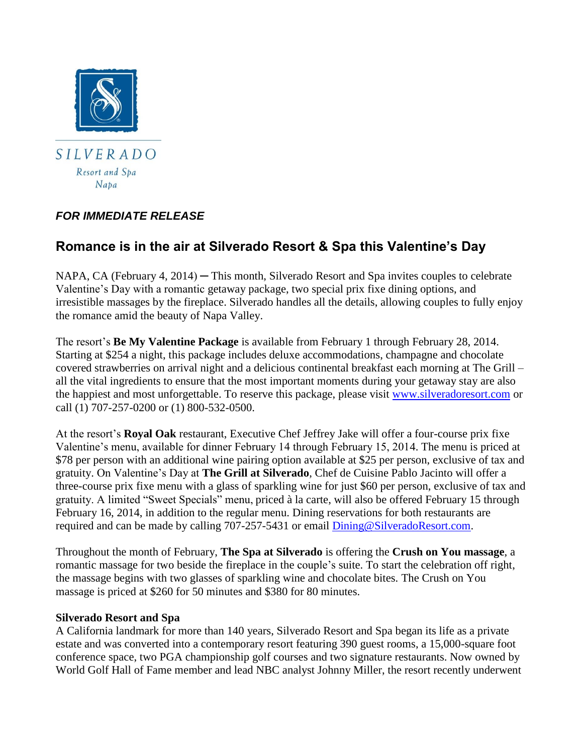

## *FOR IMMEDIATE RELEASE*

# **Romance is in the air at Silverado Resort & Spa this Valentine's Day**

NAPA, CA (February 4, 2014) — This month, Silverado Resort and Spa invites couples to celebrate Valentine's Day with a romantic getaway package, two special prix fixe dining options, and irresistible massages by the fireplace. Silverado handles all the details, allowing couples to fully enjoy the romance amid the beauty of Napa Valley.

The resort's **Be My Valentine Package** is available from February 1 through February 28, 2014. Starting at \$254 a night, this package includes deluxe accommodations, champagne and chocolate covered strawberries on arrival night and a delicious continental breakfast each morning at The Grill – all the vital ingredients to ensure that the most important moments during your getaway stay are also the happiest and most unforgettable. To reserve this package, please visit [www.silveradoresort.com](http://www.silveradoresort.com/) or call (1) 707-257-0200 or (1) 800-532-0500.

At the resort's **Royal Oak** restaurant, Executive Chef Jeffrey Jake will offer a four-course prix fixe Valentine's menu, available for dinner February 14 through February 15, 2014. The menu is priced at \$78 per person with an additional wine pairing option available at \$25 per person, exclusive of tax and gratuity. On Valentine's Day at **The Grill at Silverado**, Chef de Cuisine Pablo Jacinto will offer a three-course prix fixe menu with a glass of sparkling wine for just \$60 per person, exclusive of tax and gratuity. A limited "Sweet Specials" menu, priced à la carte, will also be offered February 15 through February 16, 2014, in addition to the regular menu. Dining reservations for both restaurants are required and can be made by calling 707-257-5431 or email [Dining@SilveradoResort.com.](mailto:Dining@SilveradoResort.com)

Throughout the month of February, **The Spa at Silverado** is offering the **Crush on You massage**, a romantic massage for two beside the fireplace in the couple's suite. To start the celebration off right, the massage begins with two glasses of sparkling wine and chocolate bites. The Crush on You massage is priced at \$260 for 50 minutes and \$380 for 80 minutes.

### **Silverado Resort and Spa**

A California landmark for more than 140 years, Silverado Resort and Spa began its life as a private estate and was converted into a contemporary resort featuring 390 guest rooms, a 15,000-square foot conference space, two PGA championship golf courses and two signature restaurants. Now owned by World Golf Hall of Fame member and lead NBC analyst Johnny Miller, the resort recently underwent